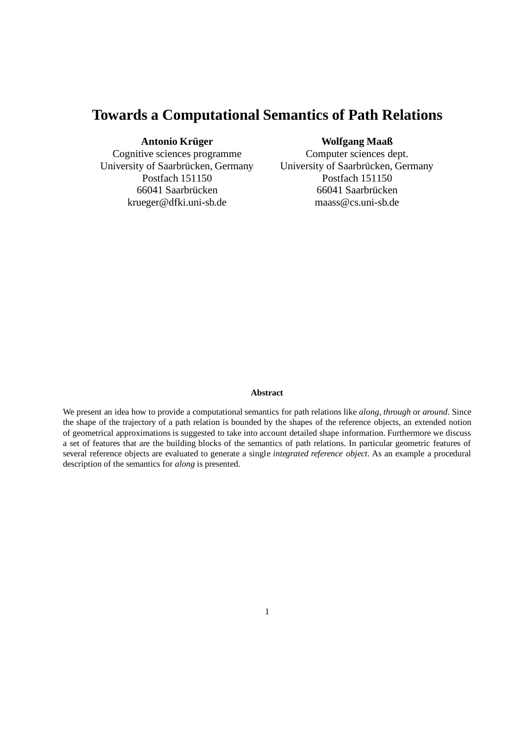# **Towards a Computational Semantics of Path Relations**

### **Antonio Krüger**

Cognitive sciences programme University of Saarbrücken, Germany Postfach 151150 66041 Saarbrücken krueger@dfki.uni-sb.de

### **Wolfgang Maaß**

Computer sciences dept. University of Saarbrücken, Germany Postfach 151150 66041 Saarbrücken maass@cs.uni-sb.de

#### **Abstract**

We present an idea how to provide a computational semantics for path relations like *along*, *through* or *around*. Since the shape of the trajectory of a path relation is bounded by the shapes of the reference objects, an extended notion of geometrical approximations is suggested to take into account detailed shape information. Furthermore we discuss a set of features that are the building blocks of the semantics of path relations. In particular geometric features of several reference objects are evaluated to generate a single *integrated reference object*. As an example a procedural description of the semantics for *along* is presented.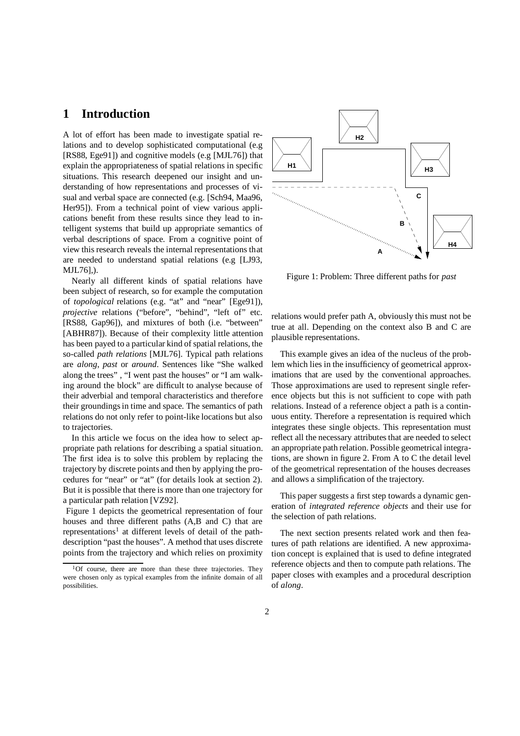### **1 Introduction**

A lot of effort has been made to investigate spatial relations and to develop sophisticated computational (e.g [RS88, Ege91]) and cognitive models (e.g [MJL76]) that explain the appropriateness of spatial relations in specific situations. This research deepened our insight and understanding of how representations and processes of visual and verbal space are connected (e.g. [Sch94, Maa96, Her95]). From a technical point of view various applications benefit from these results since they lead to intelligent systems that build up appropriate semantics of verbal descriptions of space. From a cognitive point of view this research reveals the internal representations that are needed to understand spatial relations (e.g [LJ93, MJL76],).

Nearly all different kinds of spatial relations have been subject of research, so for example the computation of *topological* relations (e.g. "at" and "near" [Ege91]), *projective* relations ("before", "behind", "left of" etc. [RS88, Gap96]), and mixtures of both (i.e. "between" [ABHR87]). Because of their complexity little attention has been payed to a particular kind of spatial relations, the so-called *path relations* [MJL76]. Typical path relations are *along*, *past* or *around*. Sentences like "She walked along the trees" , "I went past the houses" or "I am walking around the block" are difficult to analyse because of their adverbial and temporal characteristics and therefore their groundings in time and space. The semantics of path relations do not only refer to point-like locations but also to trajectories.

In this article we focus on the idea how to select appropriate path relations for describing a spatial situation. The first idea is to solve this problem by replacing the trajectory by discrete points and then by applying the procedures for "near" or "at" (for details look at section 2). But it is possible that there is more than one trajectory for a particular path relation [VZ92].

Figure 1 depicts the geometrical representation of four houses and three different paths (A,B and C) that are representations<sup>1</sup> at different levels of detail of the pathdescription "past the houses". A method that uses discrete points from the trajectory and which relies on proximity



Figure 1: Problem: Three different paths for *past*

relations would prefer path A, obviously this must not be true at all. Depending on the context also B and C are plausible representations.

This example gives an idea of the nucleus of the problem which lies in the insufficiency of geometrical approximations that are used by the conventional approaches. Those approximations are used to represent single reference objects but this is not sufficient to cope with path relations. Instead of a reference object a path is a continuous entity. Therefore a representation is required which integrates these single objects. This representation must reflect all the necessary attributes that are needed to select an appropriate path relation. Possible geometrical integrations, are shown in figure 2. From A to C the detail level of the geometrical representation of the houses decreases and allows a simplification of the trajectory.

This paper suggests a first step towards a dynamic generation of *integrated reference objects* and their use for the selection of path relations.

The next section presents related work and then features of path relations are identified. A new approximation concept is explained that is used to define integrated reference objects and then to compute path relations. The paper closes with examples and a procedural description of *along*.

 $1$ Of course, there are more than these three trajectories. They were chosen only as typical examples from the infinite domain of all possibilities.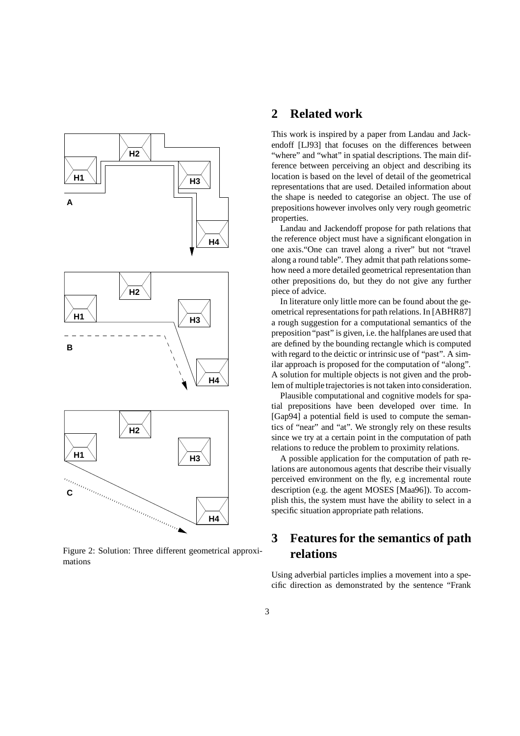

Figure 2: Solution: Three different geometrical approximations

### **2 Related work**

This work is inspired by a paper from Landau and Jackendoff [LJ93] that focuses on the differences between "where" and "what" in spatial descriptions. The main difference between perceiving an object and describing its location is based on the level of detail of the geometrical representations that are used. Detailed information about the shape is needed to categorise an object. The use of prepositions however involves only very rough geometric properties.

Landau and Jackendoff propose for path relations that the reference object must have a significant elongation in one axis."One can travel along a river" but not "travel along a round table". They admit that path relations somehow need a more detailed geometrical representation than other prepositions do, but they do not give any further piece of advice.

In literature only little more can be found about the geometrical representations for path relations. In [ABHR87] a rough suggestion for a computational semantics of the preposition "past" is given, i.e. the halfplanes are used that are defined by the bounding rectangle which is computed with regard to the deictic or intrinsic use of "past". A similar approach is proposed for the computation of "along". A solution for multiple objects is not given and the problem of multiple trajectories is not taken into consideration.

Plausible computational and cognitive models for spatial prepositions have been developed over time. In [Gap94] a potential field is used to compute the semantics of "near" and "at". We strongly rely on these results since we try at a certain point in the computation of path relations to reduce the problem to proximity relations.

A possible application for the computation of path relations are autonomous agents that describe their visually perceived environment on the fly, e.g incremental route description (e.g. the agent MOSES [Maa96]). To accomplish this, the system must have the ability to select in a specific situation appropriate path relations.

# **3 Features for the semantics of path relations**

Using adverbial particles implies a movement into a specific direction as demonstrated by the sentence "Frank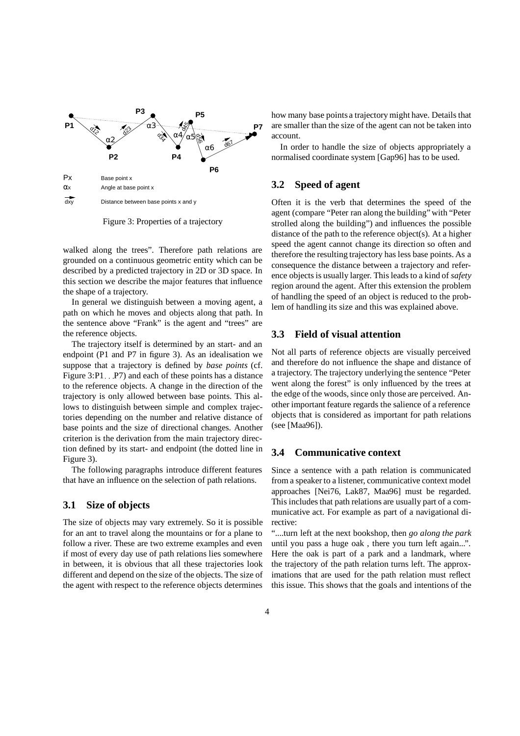

Figure 3: Properties of a trajectory

walked along the trees". Therefore path relations are grounded on a continuous geometric entity which can be described by a predicted trajectory in 2D or 3D space. In this section we describe the major features that influence the shape of a trajectory.

In general we distinguish between a moving agent, a path on which he moves and objects along that path. In the sentence above "Frank" is the agent and "trees" are the reference objects.

The trajectory itself is determined by an start- and an endpoint (P1 and P7 in figure 3). As an idealisation we suppose that a trajectory is defined by *base points* (cf. Figure 3:P1. : P7) and each of these points has a distance to the reference objects. A change in the direction of the trajectory is only allowed between base points. This allows to distinguish between simple and complex trajectories depending on the number and relative distance of base points and the size of directional changes. Another criterion is the derivation from the main trajectory direction defined by its start- and endpoint (the dotted line in Figure 3).

The following paragraphs introduce different features that have an influence on the selection of path relations.

#### **3.1 Size of objects**

The size of objects may vary extremely. So it is possible for an ant to travel along the mountains or for a plane to follow a river. These are two extreme examples and even if most of every day use of path relations lies somewhere in between, it is obvious that all these trajectories look different and depend on the size of the objects. The size of the agent with respect to the reference objects determines how many base points a trajectory might have. Details that are smaller than the size of the agent can not be taken into account.

In order to handle the size of objects appropriately a normalised coordinate system [Gap96] has to be used.

#### **3.2 Speed of agent**

Often it is the verb that determines the speed of the agent (compare "Peter ran along the building" with "Peter strolled along the building") and influences the possible distance of the path to the reference object(s). At a higher speed the agent cannot change its direction so often and therefore the resulting trajectory has less base points. As a consequence the distance between a trajectory and reference objects is usually larger. This leads to a kind of *safety* region around the agent. After this extension the problem of handling the speed of an object is reduced to the problem of handling its size and this was explained above.

#### **3.3 Field of visual attention**

Not all parts of reference objects are visually perceived and therefore do not influence the shape and distance of a trajectory. The trajectory underlying the sentence "Peter went along the forest" is only influenced by the trees at the edge of the woods, since only those are perceived. Another important feature regards the salience of a reference objects that is considered as important for path relations (see [Maa96]).

#### **3.4 Communicative context**

Since a sentence with a path relation is communicated from a speaker to a listener, communicative context model approaches [Nei76, Lak87, Maa96] must be regarded. This includes that path relations are usually part of a communicative act. For example as part of a navigational directive:

"....turn left at the next bookshop, then *go along the park* until you pass a huge oak , there you turn left again...". Here the oak is part of a park and a landmark, where the trajectory of the path relation turns left. The approximations that are used for the path relation must reflect this issue. This shows that the goals and intentions of the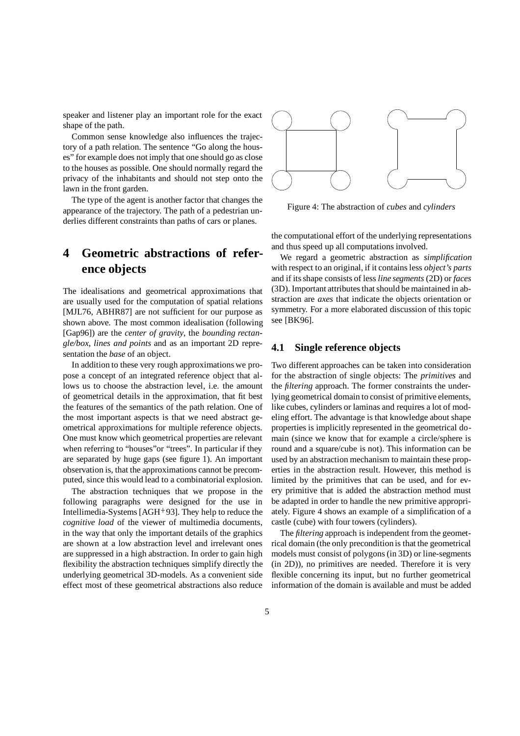speaker and listener play an important role for the exact shape of the path.

Common sense knowledge also influences the trajectory of a path relation. The sentence "Go along the houses" for example does not imply that one should go as close to the houses as possible. One should normally regard the privacy of the inhabitants and should not step onto the lawn in the front garden.

The type of the agent is another factor that changes the appearance of the trajectory. The path of a pedestrian underlies different constraints than paths of cars or planes.

## **4 Geometric abstractions of reference objects**

The idealisations and geometrical approximations that are usually used for the computation of spatial relations [MJL76, ABHR87] are not sufficient for our purpose as shown above. The most common idealisation (following [Gap96]) are the *center of gravity*, the *bounding rectangle/box*, *lines and points* and as an important 2D representation the *base* of an object.

In addition to these very rough approximations we propose a concept of an integrated reference object that allows us to choose the abstraction level, i.e. the amount of geometrical details in the approximation, that fit best the features of the semantics of the path relation. One of the most important aspects is that we need abstract geometrical approximations for multiple reference objects. One must know which geometrical properties are relevant when referring to "houses"or "trees". In particular if they are separated by huge gaps (see figure 1). An important observation is, that the approximations cannot be precomputed, since this would lead to a combinatorial explosion.

The abstraction techniques that we propose in the following paragraphs were designed for the use in Intellimedia-Systems [AGH<sup>+</sup> 93]. They help to reduce the *cognitive load* of the viewer of multimedia documents, in the way that only the important details of the graphics are shown at a low abstraction level and irrelevant ones are suppressed in a high abstraction. In order to gain high flexibility the abstraction techniques simplify directly the underlying geometrical 3D-models. As a convenient side effect most of these geometrical abstractions also reduce



Figure 4: The abstraction of *cubes* and *cylinders*

the computational effort of the underlying representations and thus speed up all computations involved.

We regard a geometric abstraction as *simplification* with respect to an original, if it contains less *object's parts* and if its shape consists of less *line segments* (2D) or *faces* (3D). Important attributes that should be maintained in abstraction are *axes* that indicate the objects orientation or symmetry. For a more elaborated discussion of this topic see [BK96].

#### **4.1 Single reference objects**

Two different approaches can be taken into consideration for the abstraction of single objects: The *primitives* and the *filtering* approach. The former constraints the underlying geometrical domain to consist of primitive elements, like cubes, cylinders or laminas and requires a lot of modeling effort. The advantage is that knowledge about shape properties is implicitly represented in the geometrical domain (since we know that for example a circle/sphere is round and a square/cube is not). This information can be used by an abstraction mechanism to maintain these properties in the abstraction result. However, this method is limited by the primitives that can be used, and for every primitive that is added the abstraction method must be adapted in order to handle the new primitive appropriately. Figure 4 shows an example of a simplification of a castle (cube) with four towers (cylinders).

The *filtering* approach is independent from the geometrical domain (the only precondition is that the geometrical models must consist of polygons (in 3D) or line-segments (in 2D)), no primitives are needed. Therefore it is very flexible concerning its input, but no further geometrical information of the domain is available and must be added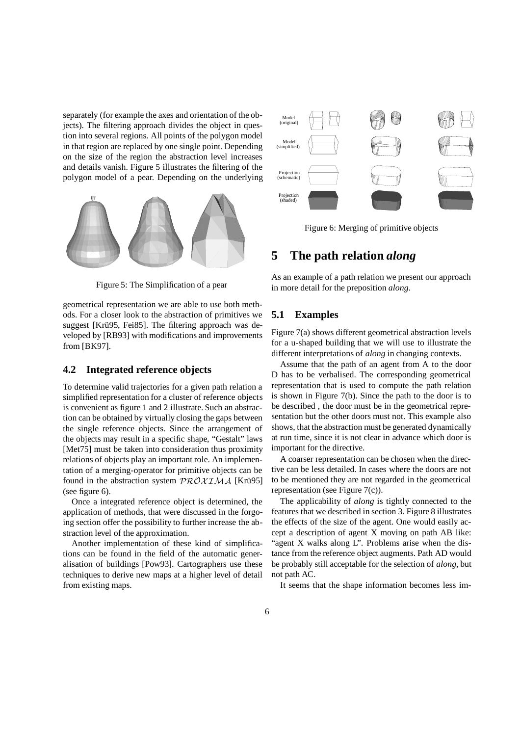separately (for example the axes and orientation of the objects). The filtering approach divides the object in question into several regions. All points of the polygon model in that region are replaced by one single point. Depending on the size of the region the abstraction level increases and details vanish. Figure 5 illustrates the filtering of the polygon model of a pear. Depending on the underlying



Figure 5: The Simplification of a pear

geometrical representation we are able to use both methods. For a closer look to the abstraction of primitives we suggest [Krü95, Fei85]. The filtering approach was developed by [RB93] with modifications and improvements from [BK97].

#### **4.2 Integrated reference objects**

To determine valid trajectories for a given path relation a simplified representation for a cluster of reference objects is convenient as figure 1 and 2 illustrate. Such an abstraction can be obtained by virtually closing the gaps between the single reference objects. Since the arrangement of the objects may result in a specific shape, "Gestalt" laws [Met75] must be taken into consideration thus proximity relations of objects play an important role. An implementation of a merging-operator for primitive objects can be found in the abstraction system  $\mathcal{PROXIMA}$  [Krü95] (see figure 6).

Once a integrated reference object is determined, the application of methods, that were discussed in the forgoing section offer the possibility to further increase the abstraction level of the approximation.

Another implementation of these kind of simplifications can be found in the field of the automatic generalisation of buildings [Pow93]. Cartographers use these techniques to derive new maps at a higher level of detail from existing maps.



Figure 6: Merging of primitive objects

### **5 The path relation** *along*

As an example of a path relation we present our approach in more detail for the preposition *along*.

#### **5.1 Examples**

Figure 7(a) shows different geometrical abstraction levels for a u-shaped building that we will use to illustrate the different interpretations of *along* in changing contexts.

Assume that the path of an agent from A to the door D has to be verbalised. The corresponding geometrical representation that is used to compute the path relation is shown in Figure 7(b). Since the path to the door is to be described , the door must be in the geometrical representation but the other doors must not. This example also shows, that the abstraction must be generated dynamically at run time, since it is not clear in advance which door is important for the directive.

A coarser representation can be chosen when the directive can be less detailed. In cases where the doors are not to be mentioned they are not regarded in the geometrical representation (see Figure 7(c)).

The applicability of *along* is tightly connected to the features that we described in section 3. Figure 8 illustrates the effects of the size of the agent. One would easily accept a description of agent X moving on path AB like: "agent X walks along L". Problems arise when the distance from the reference object augments. Path AD would be probably still acceptable for the selection of *along*, but not path AC.

It seems that the shape information becomes less im-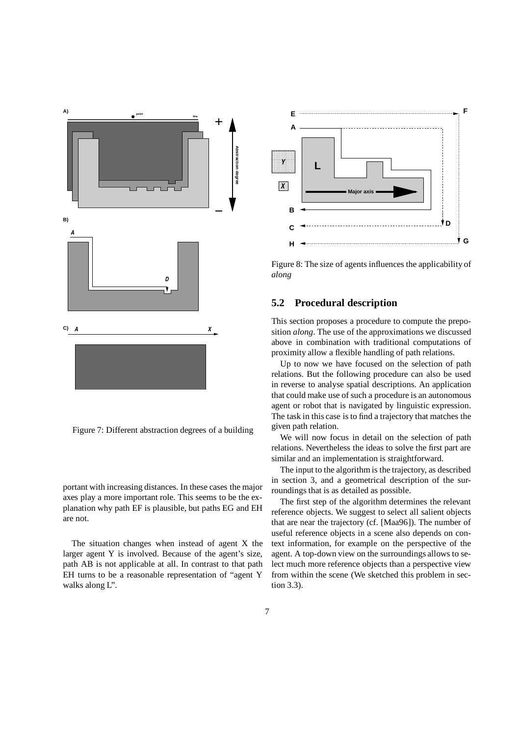

Figure 7: Different abstraction degrees of a building

portant with increasing distances. In these cases the major axes play a more important role. This seems to be the explanation why path EF is plausible, but paths EG and EH are not.

The situation changes when instead of agent X the larger agent Y is involved. Because of the agent's size, path AB is not applicable at all. In contrast to that path EH turns to be a reasonable representation of "agent Y walks along L".



Figure 8: The size of agents influences the applicability of *along*

#### **5.2 Procedural description**

This section proposes a procedure to compute the preposition *along*. The use of the approximations we discussed above in combination with traditional computations of proximity allow a flexible handling of path relations.

Up to now we have focused on the selection of path relations. But the following procedure can also be used in reverse to analyse spatial descriptions. An application that could make use of such a procedure is an autonomous agent or robot that is navigated by linguistic expression. The task in this case is to find a trajectory that matches the given path relation.

We will now focus in detail on the selection of path relations. Nevertheless the ideas to solve the first part are similar and an implementation is straightforward.

The input to the algorithm is the trajectory, as described in section 3, and a geometrical description of the surroundings that is as detailed as possible.

The first step of the algorithm determines the relevant reference objects. We suggest to select all salient objects that are near the trajectory (cf. [Maa96]). The number of useful reference objects in a scene also depends on context information, for example on the perspective of the agent. A top-down view on the surroundings allows to select much more reference objects than a perspective view from within the scene (We sketched this problem in section 3.3).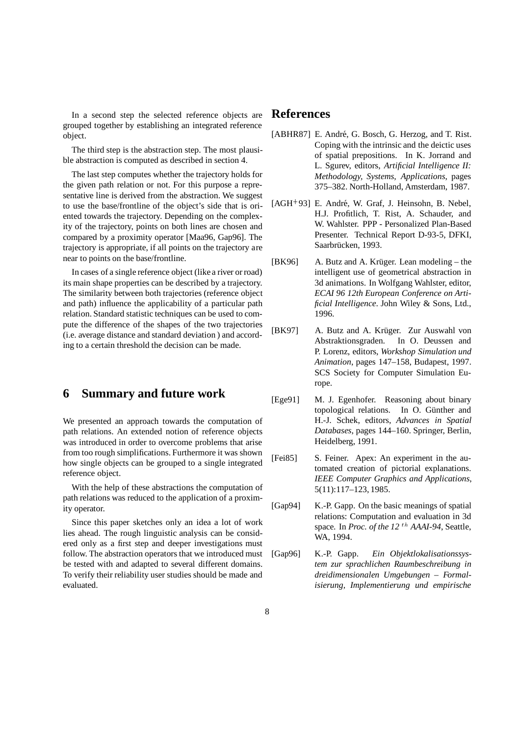In a second step the selected reference objects are grouped together by establishing an integrated reference object.

The third step is the abstraction step. The most plausible abstraction is computed as described in section 4.

The last step computes whether the trajectory holds for the given path relation or not. For this purpose a representative line is derived from the abstraction. We suggest to use the base/frontline of the object's side that is oriented towards the trajectory. Depending on the complexity of the trajectory, points on both lines are chosen and compared by a proximity operator [Maa96, Gap96]. The trajectory is appropriate, if all points on the trajectory are near to points on the base/frontline.

In cases of a single reference object (like a river or road) its main shape properties can be described by a trajectory. The similarity between both trajectories (reference object and path) influence the applicability of a particular path relation. Standard statistic techniques can be used to compute the difference of the shapes of the two trajectories (i.e. average distance and standard deviation ) and according to a certain threshold the decision can be made.

### **6 Summary and future work**

We presented an approach towards the computation of path relations. An extended notion of reference objects was introduced in order to overcome problems that arise from too rough simplifications. Furthermore it was shown how single objects can be grouped to a single integrated reference object.

With the help of these abstractions the computation of path relations was reduced to the application of a proximity operator.

Since this paper sketches only an idea a lot of work lies ahead. The rough linguistic analysis can be considered only as a first step and deeper investigations must follow. The abstraction operators that we introduced must be tested with and adapted to several different domains. To verify their reliability user studies should be made and evaluated.

### **References**

- [ABHR87] E. André, G. Bosch, G. Herzog, and T. Rist. Coping with the intrinsic and the deictic uses of spatial prepositions. In K. Jorrand and L. Sgurev, editors, *Artificial Intelligence II: Methodology, Systems, Applications*, pages 375–382. North-Holland, Amsterdam, 1987.
- [AGH<sup>+</sup>93] E. André, W. Graf, J. Heinsohn, B. Nebel, H.J. Profitlich, T. Rist, A. Schauder, and W. Wahlster. PPP - Personalized Plan-Based Presenter. Technical Report D-93-5, DFKI, Saarbrücken, 1993.
- [BK96] A. Butz and A. Krüger. Lean modeling the intelligent use of geometrical abstraction in 3d animations. In Wolfgang Wahlster, editor, *ECAI 96 12th European Conference on Artificial Intelligence*. John Wiley & Sons, Ltd., 1996.
- [BK97] A. Butz and A. Krüger. Zur Auswahl von Abstraktionsgraden. In O. Deussen and P. Lorenz, editors, *Workshop Simulation und Animation*, pages 147–158, Budapest, 1997. SCS Society for Computer Simulation Europe.
- [Ege91] M. J. Egenhofer. Reasoning about binary topological relations. In O. Günther and H.-J. Schek, editors, *Advances in Spatial Databases*, pages 144–160. Springer, Berlin, Heidelberg, 1991.
- [Fei85] S. Feiner. Apex: An experiment in the automated creation of pictorial explanations. *IEEE Computer Graphics and Applications*, 5(11):117–123, 1985.
- [Gap94] K.-P. Gapp. On the basic meanings of spatial relations: Computation and evaluation in 3d space. In *Proc. of the 12* th *AAAI-94*, Seattle, WA, 1994.
- [Gap96] K.-P. Gapp. *Ein Objektlokalisationssystem zur sprachlichen Raumbeschreibung in dreidimensionalen Umgebungen – Formalisierung, Implementierung und empirische*